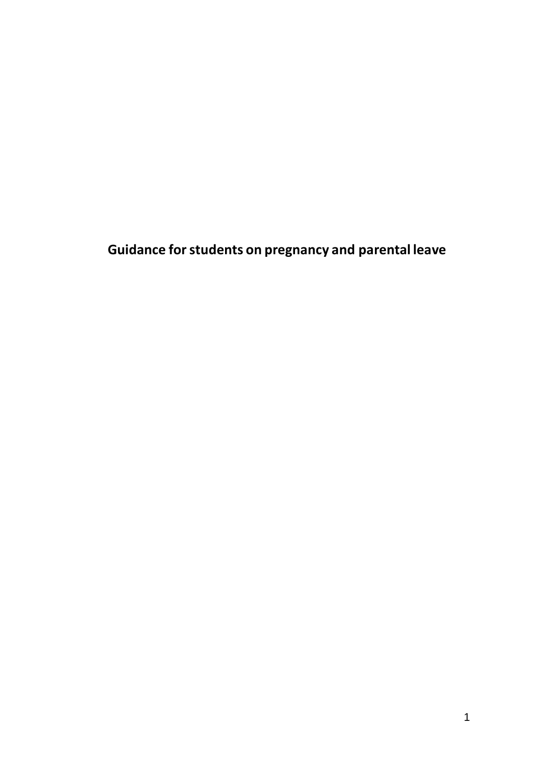**Guidance for students on pregnancy and parental leave**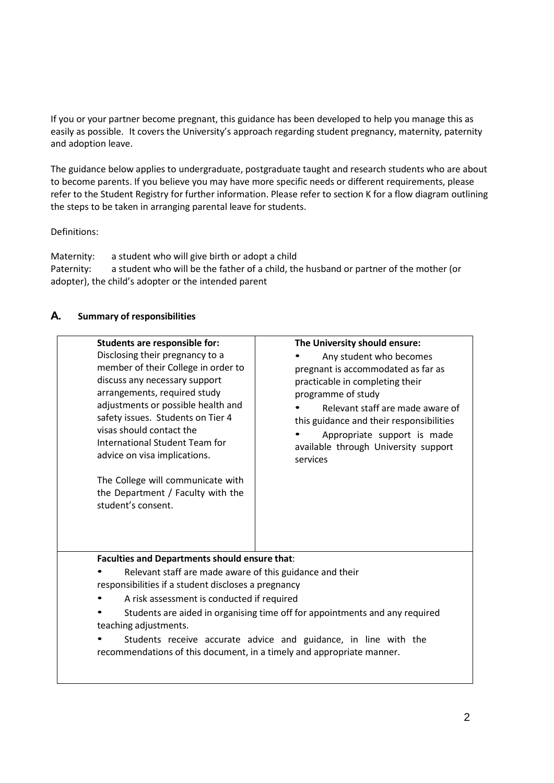If you or your partner become pregnant, this guidance has been developed to help you manage this as easily as possible. It covers the University's approach regarding student pregnancy, maternity, paternity and adoption leave.

The guidance below applies to undergraduate, postgraduate taught and research students who are about to become parents. If you believe you may have more specific needs or different requirements, please refer to the Student Registry for further information. Please refer to section K for a flow diagram outlining the steps to be taken in arranging parental leave for students.

Definitions:

Maternity: a student who will give birth or adopt a child Paternity: a student who will be the father of a child, the husband or partner of the mother (or adopter), the child's adopter or the intended parent

### **A. Summary of responsibilities**

| Students are responsible for:<br>Disclosing their pregnancy to a<br>member of their College in order to<br>discuss any necessary support<br>arrangements, required study<br>adjustments or possible health and<br>safety issues. Students on Tier 4<br>visas should contact the<br>International Student Team for<br>advice on visa implications.<br>The College will communicate with<br>the Department / Faculty with the<br>student's consent.                  | The University should ensure:<br>Any student who becomes<br>pregnant is accommodated as far as<br>practicable in completing their<br>programme of study<br>Relevant staff are made aware of<br>this guidance and their responsibilities<br>Appropriate support is made<br>available through University support<br>services |
|--------------------------------------------------------------------------------------------------------------------------------------------------------------------------------------------------------------------------------------------------------------------------------------------------------------------------------------------------------------------------------------------------------------------------------------------------------------------|----------------------------------------------------------------------------------------------------------------------------------------------------------------------------------------------------------------------------------------------------------------------------------------------------------------------------|
|                                                                                                                                                                                                                                                                                                                                                                                                                                                                    |                                                                                                                                                                                                                                                                                                                            |
| Faculties and Departments should ensure that:<br>Relevant staff are made aware of this guidance and their<br>responsibilities if a student discloses a pregnancy<br>A risk assessment is conducted if required<br>Students are aided in organising time off for appointments and any required<br>teaching adjustments.<br>Students receive accurate advice and guidance, in line with the<br>recommendations of this document, in a timely and appropriate manner. |                                                                                                                                                                                                                                                                                                                            |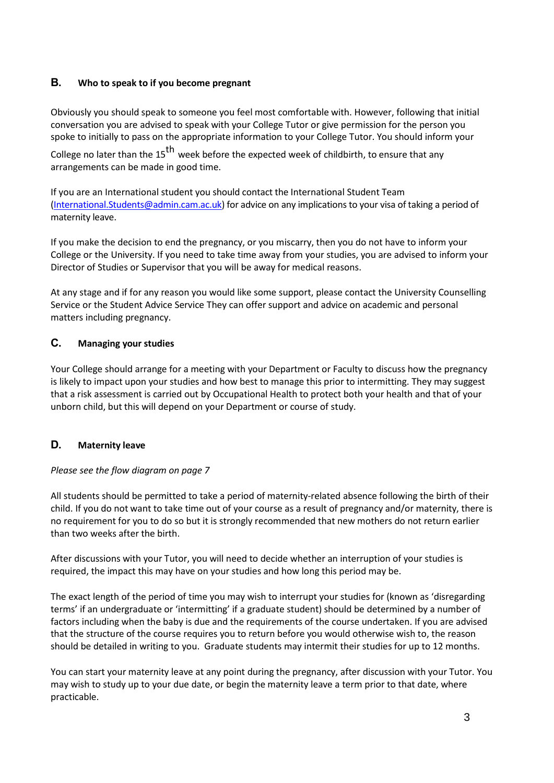# **B. Who to speak to if you become pregnant**

Obviously you should speak to someone you feel most comfortable with. However, following that initial conversation you are advised to speak with your College Tutor or give permission for the person you spoke to initially to pass on the appropriate information to your College Tutor. You should inform your

College no later than the  $15<sup>th</sup>$  week before the expected week of childbirth, to ensure that any arrangements can be made in good time.

If you are an International student you should contact the International Student Team [\(International.Students@admin.cam.ac.uk\)](mailto:International.Students@admin.cam.ac.uk) for advice on any implications to your visa of taking a period of maternity leave.

If you make the decision to end the pregnancy, or you miscarry, then you do not have to inform your College or the University. If you need to take time away from your studies, you are advised to inform your Director of Studies or Supervisor that you will be away for medical reasons.

At any stage and if for any reason you would like some support, please contact the University Counselling Service or the Student Advice Service They can offer support and advice on academic and personal matters including pregnancy.

# **C. Managing your studies**

Your College should arrange for a meeting with your Department or Faculty to discuss how the pregnancy is likely to impact upon your studies and how best to manage this prior to intermitting. They may suggest that a risk assessment is carried out by Occupational Health to protect both your health and that of your unborn child, but this will depend on your Department or course of study.

# **D. Maternity leave**

### *Please see the flow diagram on page 7*

All students should be permitted to take a period of maternity-related absence following the birth of their child. If you do not want to take time out of your course as a result of pregnancy and/or maternity, there is no requirement for you to do so but it is strongly recommended that new mothers do not return earlier than two weeks after the birth.

After discussions with your Tutor, you will need to decide whether an interruption of your studies is required, the impact this may have on your studies and how long this period may be.

The exact length of the period of time you may wish to interrupt your studies for (known as 'disregarding terms' if an undergraduate or 'intermitting' if a graduate student) should be determined by a number of factors including when the baby is due and the requirements of the course undertaken. If you are advised that the structure of the course requires you to return before you would otherwise wish to, the reason should be detailed in writing to you. Graduate students may intermit their studies for up to 12 months.

You can start your maternity leave at any point during the pregnancy, after discussion with your Tutor. You may wish to study up to your due date, or begin the maternity leave a term prior to that date, where practicable.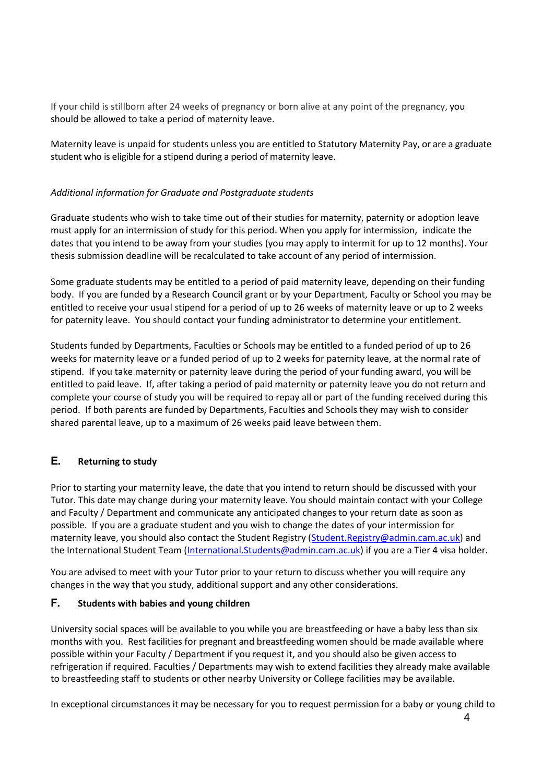If your child is stillborn after 24 weeks of pregnancy or born alive at any point of the pregnancy, you should be allowed to take a period of maternity leave.

Maternity leave is unpaid for students unless you are entitled to Statutory Maternity Pay, or are a graduate student who is eligible for a stipend during a period of maternity leave.

#### *Additional information for Graduate and Postgraduate students*

Graduate students who wish to take time out of their studies for maternity, paternity or adoption leave must apply for an intermission of study for this period. When you apply for intermission, indicate the dates that you intend to be away from your studies (you may apply to intermit for up to 12 months). Your thesis submission deadline will be recalculated to take account of any period of intermission.

Some graduate students may be entitled to a period of paid maternity leave, depending on their funding body. If you are funded by a Research Council grant or by your Department, Faculty or School you may be entitled to receive your usual stipend for a period of up to 26 weeks of maternity leave or up to 2 weeks for paternity leave. You should contact your funding administrator to determine your entitlement.

Students funded by Departments, Faculties or Schools may be entitled to a funded period of up to 26 weeks for maternity leave or a funded period of up to 2 weeks for paternity leave, at the normal rate of stipend. If you take maternity or paternity leave during the period of your funding award, you will be entitled to paid leave. If, after taking a period of paid maternity or paternity leave you do not return and complete your course of study you will be required to repay all or part of the funding received during this period. If both parents are funded by Departments, Faculties and Schools they may wish to consider shared parental leave, up to a maximum of 26 weeks paid leave between them.

### **E. Returning to study**

Prior to starting your maternity leave, the date that you intend to return should be discussed with your Tutor. This date may change during your maternity leave. You should maintain contact with your College and Faculty / Department and communicate any anticipated changes to your return date as soon as possible. If you are a graduate student and you wish to change the dates of your intermission for maternity leave, you should also contact the Student Registry [\(Student.Registry@admin.cam.ac.uk\)](mailto:Student.Registry@admin.cam.ac.uk) and the International Student Team [\(International.Students@admin.cam.ac.uk\)](mailto:International.Students@admin.cam.ac.uk) if you are a Tier 4 visa holder.

You are advised to meet with your Tutor prior to your return to discuss whether you will require any changes in the way that you study, additional support and any other considerations.

#### **F. Students with babies and young children**

University social spaces will be available to you while you are breastfeeding or have a baby less than six months with you. Rest facilities for pregnant and breastfeeding women should be made available where possible within your Faculty / Department if you request it, and you should also be given access to refrigeration if required. Faculties / Departments may wish to extend facilities they already make available to breastfeeding staff to students or other nearby University or College facilities may be available.

In exceptional circumstances it may be necessary for you to request permission for a baby or young child to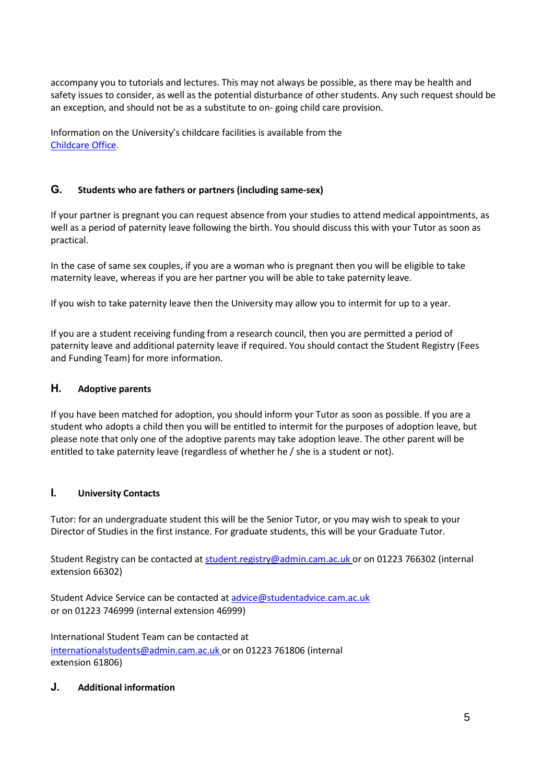accompany you to tutorials and lectures. This may not always be possible, as there may be health and safety issues to consider, as well as the potential disturbance of other students. Any such request should be an exception, and should not be as a substitute to on- going child care provision.

Information on the University's childcare facilities is available from the [Childcare Office.](http://www.admin.cam.ac.uk/univ/childcare/)

# **G. Students who are fathers or partners (including same-sex)**

If your partner is pregnant you can request absence from your studies to attend medical appointments, as well as a period of paternity leave following the birth. You should discuss this with your Tutor as soon as practical.

In the case of same sex couples, if you are a woman who is pregnant then you will be eligible to take maternity leave, whereas if you are her partner you will be able to take paternity leave.

If you wish to take paternity leave then the University may allow you to intermit for up to a year.

If you are a student receiving funding from a research council, then you are permitted a period of paternity leave and additional paternity leave if required. You should contact the Student Registry (Fees and Funding Team) for more information.

## **H. Adoptive parents**

If you have been matched for adoption, you should inform your Tutor as soon as possible. If you are a student who adopts a child then you will be entitled to intermit for the purposes of adoption leave, but please note that only one of the adoptive parents may take adoption leave. The other parent will be entitled to take paternity leave (regardless of whether he / she is a student or not).

### **I. University Contacts**

Tutor: for an undergraduate student this will be the Senior Tutor, or you may wish to speak to your Director of Studies in the first instance. For graduate students, this will be your Graduate Tutor.

Student Registry can be contacted a[t student.registry@admin.cam.ac.uk o](mailto:student.registry@admin.cam.ac.uk)r on 01223 766302 (internal extension 66302)

Student Advice Service can be contacted a[t advice@studentadvice.cam.ac.uk](mailto:advice@studentadvice.cam.ac.uk) or on 01223 746999 (internal extension 46999)

International Student Team can be contacted at [internationalstudents@admin.cam.ac.uk](mailto:internationalstudents@admin.cam.ac.uk) or on 01223 761806 (internal extension 61806)

### **J. Additional information**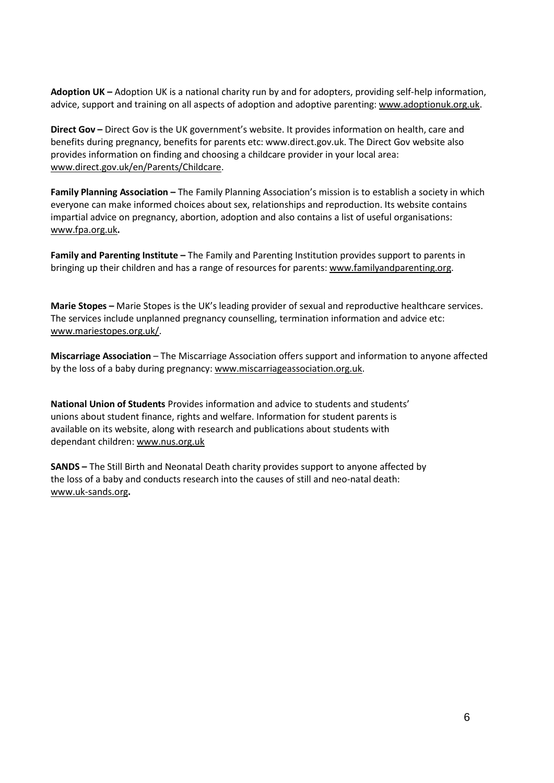**Adoption UK –** Adoption UK is a national charity run by and for adopters, providing self-help information, advice, support and training on all aspects of adoption and adoptive parenting: [www.adoptionuk.org.uk.](http://www.adoptionuk.org.uk/)

**Direct Gov –** Direct Gov is the UK government's website. It provides information on health, care and benefits during pregnancy, benefits for parents etc[: www.direct.gov.uk. T](http://www.direct.gov.uk/)he Direct Gov website also provides information on finding and choosing a childcare provider in your local area: [www.direct.gov.uk/en/Parents/Childcare.](http://www.direct.gov.uk/en/Parents/Childcare)

**Family Planning Association –** The Family Planning Association's mission is to establish a society in which everyone can make informed choices about sex, relationships and reproduction. Its website contains impartial advice on pregnancy, abortion, adoption and also contains a list of useful organisations: [www.fpa.org.uk](http://www.fpa.org.uk/)**.**

**Family and Parenting Institute –** The Family and Parenting Institution provides support to parents in bringing up their children and has a range of resources for parents: [www.familyandparenting.org.](http://www.familyandparenting.org/)

**Marie Stopes –** Marie Stopes is the UK's leading provider of sexual and reproductive healthcare services. The services include unplanned pregnancy counselling, termination information and advice etc: [www.mariestopes.org.uk/.](http://www.mariestopes.org.uk/)

**Miscarriage Association** – The Miscarriage Association offers support and information to anyone affected by the loss of a baby during pregnancy[: www.miscarriageassociation.org.uk.](http://www.miscarriageassociation.org.uk/)

**National Union of Students** Provides information and advice to students and students' unions about student finance, rights and welfare. Information for student parents is available on its website, along with research and publications about students with dependant children: [www.nus.org.uk](http://www.nus.org.uk/)

**SANDS –** The Still Birth and Neonatal Death charity provides support to anyone affected by the loss of a baby and conducts research into the causes of still and neo-natal death: [www.uk-sands.org](http://www.uk-sands.org/)**.**